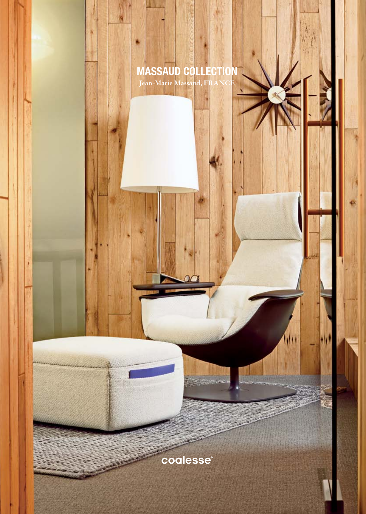### MASSAUD COLLECTION **Jean-Marie Massaud, FRANCE**

coalesse®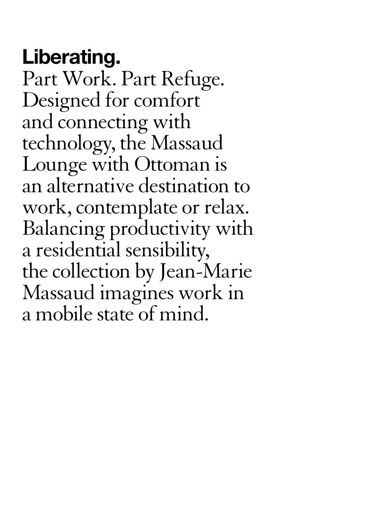Liberating. Part Work. Part Refuge. Designed for comfort and connecting with technology, the Massaud Lounge with Ottoman is an alternative destination to work, contemplate or relax. Balancing productivity with a residential sensibility, the collection by Jean-Marie Massaud imagines work in a mobile state of mind.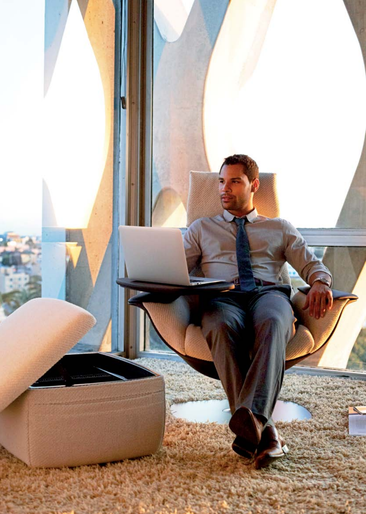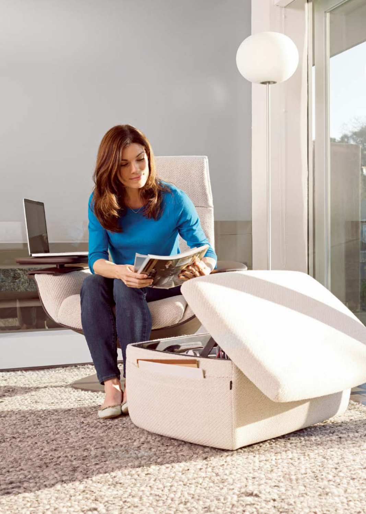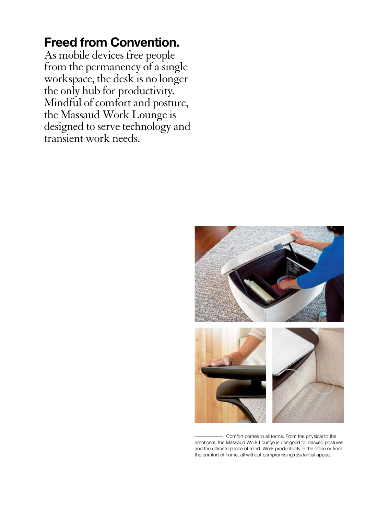### Freed from Convention.

As mobile devices free people from the permanency of a single workspace, the desk is no longer the only hub for productivity. Mindful of comfort and posture, the Massaud Work Lounge is designed to serve technology and transient work needs.



 Comfort comes in all forms. From the physical to the emotional, the Massaud Work Lounge is designed for relaxed postures and the ultimate peace of mind. Work productively in the office or from the comfort of home, all without compromising residential appeal.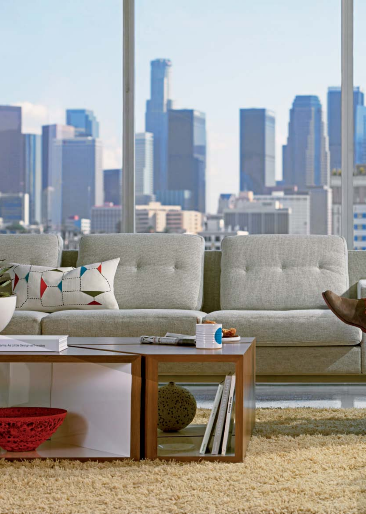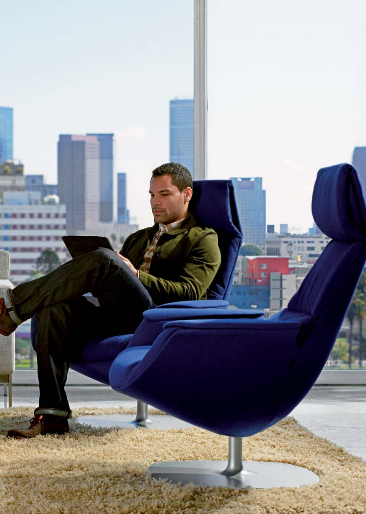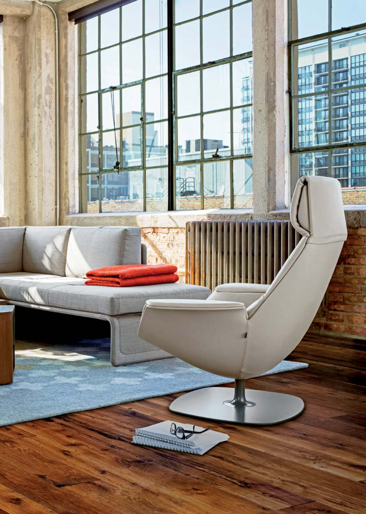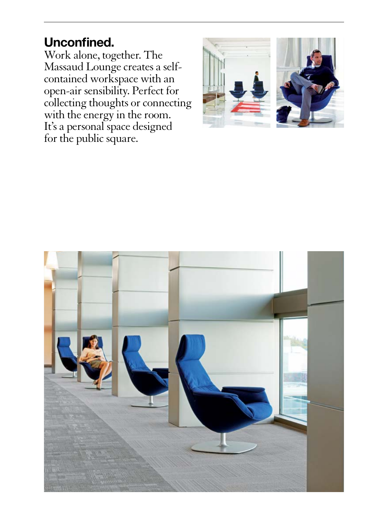# Unconfined.

Work alone, together. The Massaud Lounge creates a selfcontained workspace with an open-air sensibility. Perfect for collecting thoughts or connecting with the energy in the room. It's a personal space designed for the public square.



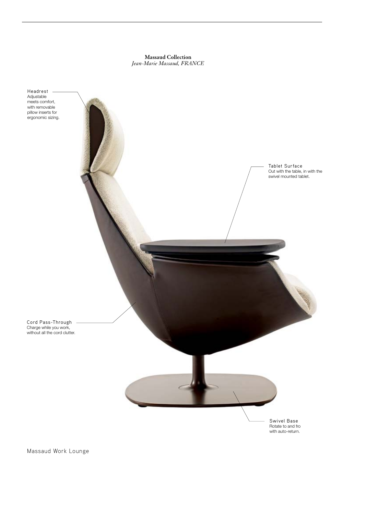**Massaud Collection** *Jean-Marie Massaud, FRANCE*



Massaud Work Lounge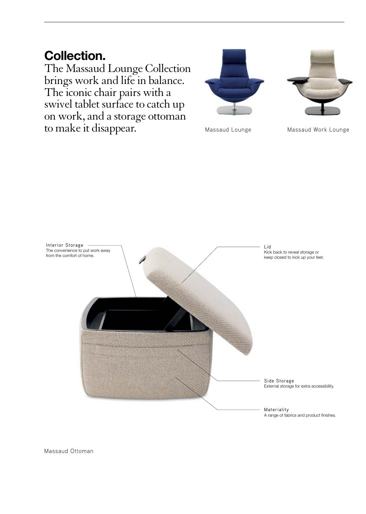## Collection.

The Massaud Lounge Collection brings work and life in balance. The iconic chair pairs with a swivel tablet surface to catch up on work, and a storage ottoman to make it disappear. Massaud Lounge Massaud Work Lounge







Massaud Ottoman